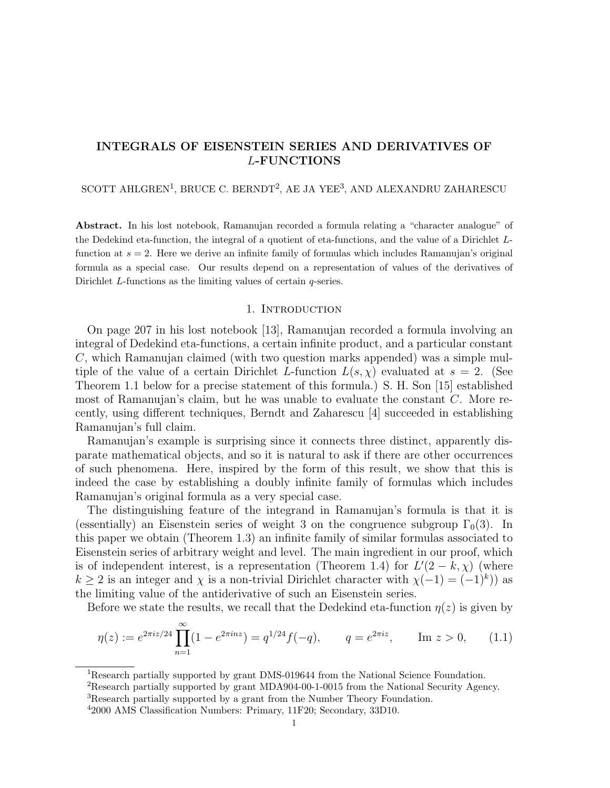# INTEGRALS OF EISENSTEIN SERIES AND DERIVATIVES OF L-FUNCTIONS

## SCOTT AHLGREN<sup>1</sup>, BRUCE C. BERNDT<sup>2</sup>, AE JA YEE<sup>3</sup>, AND ALEXANDRU ZAHARESCU

Abstract. In his lost notebook, Ramanujan recorded a formula relating a "character analogue" of the Dedekind eta-function, the integral of a quotient of eta-functions, and the value of a Dirichlet Lfunction at  $s = 2$ . Here we derive an infinite family of formulas which includes Ramanujan's original formula as a special case. Our results depend on a representation of values of the derivatives of Dirichlet L-functions as the limiting values of certain q-series.

## 1. INTRODUCTION

On page 207 in his lost notebook [13], Ramanujan recorded a formula involving an integral of Dedekind eta-functions, a certain infinite product, and a particular constant C, which Ramanujan claimed (with two question marks appended) was a simple multiple of the value of a certain Dirichlet L-function  $L(s, \chi)$  evaluated at  $s = 2$ . (See Theorem 1.1 below for a precise statement of this formula.) S. H. Son [15] established most of Ramanujan's claim, but he was unable to evaluate the constant C. More recently, using different techniques, Berndt and Zaharescu [4] succeeded in establishing Ramanujan's full claim.

Ramanujan's example is surprising since it connects three distinct, apparently disparate mathematical objects, and so it is natural to ask if there are other occurrences of such phenomena. Here, inspired by the form of this result, we show that this is indeed the case by establishing a doubly infinite family of formulas which includes Ramanujan's original formula as a very special case.

The distinguishing feature of the integrand in Ramanujan's formula is that it is (essentially) an Eisenstein series of weight 3 on the congruence subgroup  $\Gamma_0(3)$ . In this paper we obtain (Theorem 1.3) an infinite family of similar formulas associated to Eisenstein series of arbitrary weight and level. The main ingredient in our proof, which is of independent interest, is a representation (Theorem 1.4) for  $L'(2 - k, \chi)$  (where  $k \geq 2$  is an integer and  $\chi$  is a non-trivial Dirichlet character with  $\chi(-1) = (-1)^k$ ) as the limiting value of the antiderivative of such an Eisenstein series.

Before we state the results, we recall that the Dedekind eta-function  $\eta(z)$  is given by

$$
\eta(z) := e^{2\pi i z/24} \prod_{n=1}^{\infty} (1 - e^{2\pi i n z}) = q^{1/24} f(-q), \qquad q = e^{2\pi i z}, \qquad \text{Im } z > 0, \qquad (1.1)
$$

<sup>&</sup>lt;sup>1</sup>Research partially supported by grant DMS-019644 from the National Science Foundation.

<sup>&</sup>lt;sup>2</sup>Research partially supported by grant MDA904-00-1-0015 from the National Security Agency.

<sup>&</sup>lt;sup>3</sup>Research partially supported by a grant from the Number Theory Foundation.

<sup>4</sup> 2000 AMS Classification Numbers: Primary, 11F20; Secondary, 33D10.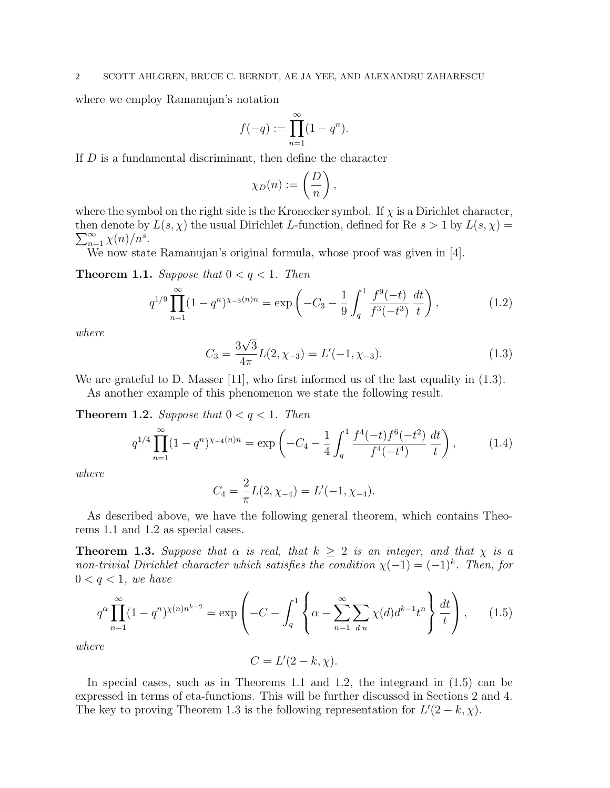where we employ Ramanujan's notation

$$
f(-q) := \prod_{n=1}^{\infty} (1 - q^n).
$$

If  $D$  is a fundamental discriminant, then define the character

$$
\chi_D(n) := \left(\frac{D}{n}\right),\,
$$

where the symbol on the right side is the Kronecker symbol. If  $\chi$  is a Dirichlet character, then denote by  $L(s, \chi)$  the usual Dirichlet L-function, defined for Re  $s > 1$  by  $L(s, \chi) = \sum_{k=1}^{\infty} \chi(k) \chi(k)$  $\sum_{n=1}^{\infty} \chi(n)/n^s$ .

We now state Ramanujan's original formula, whose proof was given in [4].

**Theorem 1.1.** Suppose that  $0 < q < 1$ . Then

$$
q^{1/9} \prod_{n=1}^{\infty} (1 - q^n)^{\chi_{-3}(n)n} = \exp\left(-C_3 - \frac{1}{9} \int_q^1 \frac{f^9(-t)}{f^3(-t^3)} \frac{dt}{t}\right),\tag{1.2}
$$

where

$$
C_3 = \frac{3\sqrt{3}}{4\pi}L(2, \chi_{-3}) = L'(-1, \chi_{-3}).
$$
\n(1.3)

We are grateful to D. Masser [11], who first informed us of the last equality in  $(1.3)$ .

As another example of this phenomenon we state the following result.

**Theorem 1.2.** Suppose that  $0 < q < 1$ . Then

$$
q^{1/4} \prod_{n=1}^{\infty} (1 - q^n)^{\chi_{-4}(n)n} = \exp\left(-C_4 - \frac{1}{4} \int_q^1 \frac{f^4(-t)f^6(-t^2)}{f^4(-t^4)} \frac{dt}{t}\right),\tag{1.4}
$$

where

$$
C_4 = \frac{2}{\pi}L(2, \chi_{-4}) = L'(-1, \chi_{-4}).
$$

As described above, we have the following general theorem, which contains Theorems 1.1 and 1.2 as special cases.

**Theorem 1.3.** Suppose that  $\alpha$  is real, that  $k \geq 2$  is an integer, and that  $\chi$  is a non-trivial Dirichlet character which satisfies the condition  $\chi(-1) = (-1)^k$ . Then, for  $0 < q < 1$ , we have

$$
q^{\alpha} \prod_{n=1}^{\infty} (1 - q^n)^{\chi(n)n^{k-2}} = \exp\left(-C - \int_q^1 \left\{ \alpha - \sum_{n=1}^{\infty} \sum_{d|n} \chi(d) d^{k-1} t^n \right\} \frac{dt}{t} \right\},\qquad(1.5)
$$

where

$$
C = L'(2 - k, \chi).
$$

In special cases, such as in Theorems 1.1 and 1.2, the integrand in (1.5) can be expressed in terms of eta-functions. This will be further discussed in Sections 2 and 4. The key to proving Theorem 1.3 is the following representation for  $L'(2 - k, \chi)$ .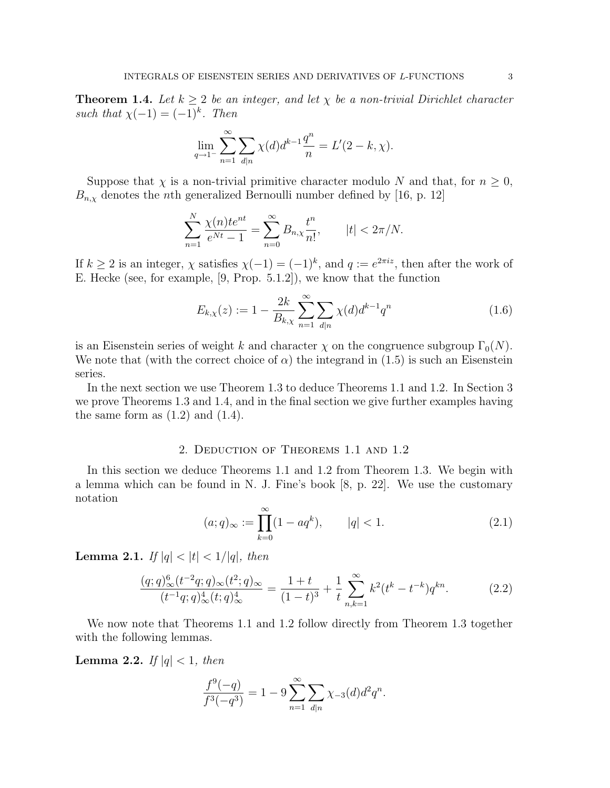**Theorem 1.4.** Let  $k \geq 2$  be an integer, and let  $\chi$  be a non-trivial Dirichlet character such that  $\chi(-1) = (-1)^k$ . Then

$$
\lim_{q \to 1^{-}} \sum_{n=1}^{\infty} \sum_{d|n} \chi(d) d^{k-1} \frac{q^n}{n} = L'(2 - k, \chi).
$$

Suppose that  $\chi$  is a non-trivial primitive character modulo N and that, for  $n \geq 0$ ,  $B_{n,\chi}$  denotes the *n*th generalized Bernoulli number defined by [16, p. 12]

$$
\sum_{n=1}^{N} \frac{\chi(n)te^{nt}}{e^{Nt} - 1} = \sum_{n=0}^{\infty} B_{n,\chi} \frac{t^n}{n!}, \qquad |t| < 2\pi/N.
$$

If  $k \geq 2$  is an integer,  $\chi$  satisfies  $\chi(-1) = (-1)^k$ , and  $q := e^{2\pi i z}$ , then after the work of E. Hecke (see, for example, [9, Prop. 5.1.2]), we know that the function

$$
E_{k,\chi}(z) := 1 - \frac{2k}{B_{k,\chi}} \sum_{n=1}^{\infty} \sum_{d|n} \chi(d) d^{k-1} q^n
$$
\n(1.6)

is an Eisenstein series of weight k and character  $\chi$  on the congruence subgroup  $\Gamma_0(N)$ . We note that (with the correct choice of  $\alpha$ ) the integrand in (1.5) is such an Eisenstein series.

In the next section we use Theorem 1.3 to deduce Theorems 1.1 and 1.2. In Section 3 we prove Theorems 1.3 and 1.4, and in the final section we give further examples having the same form as  $(1.2)$  and  $(1.4)$ .

## 2. Deduction of Theorems 1.1 and 1.2

In this section we deduce Theorems 1.1 and 1.2 from Theorem 1.3. We begin with a lemma which can be found in N. J. Fine's book  $[8, p. 22]$ . We use the customary notation

$$
(a;q)_{\infty} := \prod_{k=0}^{\infty} (1 - aq^k), \qquad |q| < 1. \tag{2.1}
$$

Lemma 2.1. If  $|q| < |t| < 1/|q|$ , then

$$
\frac{(q;q)_\infty^6 (t^{-2}q;q)_\infty (t^2;q)_\infty}{(t^{-1}q;q)_\infty^4 (t;q)_\infty^4} = \frac{1+t}{(1-t)^3} + \frac{1}{t} \sum_{n,k=1}^\infty k^2 (t^k - t^{-k}) q^{kn}.
$$
 (2.2)

We now note that Theorems 1.1 and 1.2 follow directly from Theorem 1.3 together with the following lemmas.

**Lemma 2.2.** If  $|q| < 1$ , then

$$
\frac{f^{9}(-q)}{f^{3}(-q^{3})} = 1 - 9 \sum_{n=1}^{\infty} \sum_{d|n} \chi_{-3}(d) d^{2}q^{n}.
$$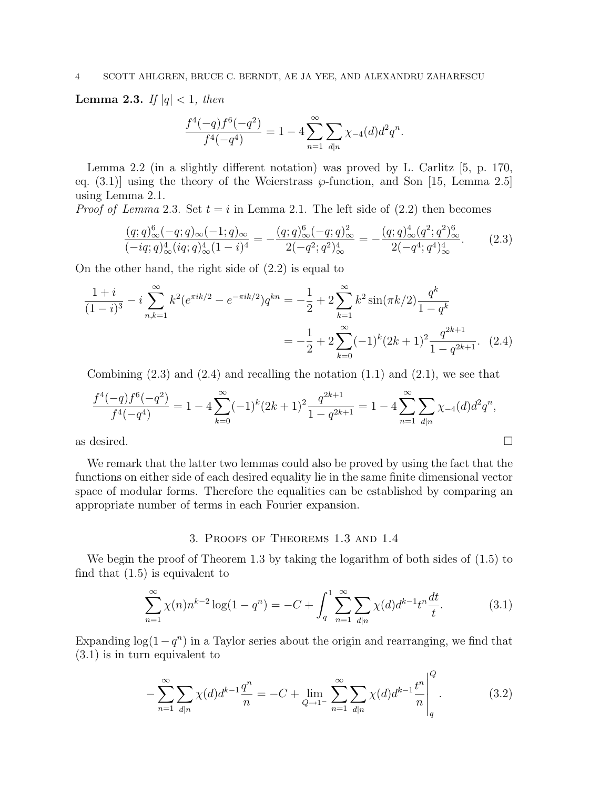**Lemma 2.3.** If  $|q| < 1$ , then

$$
\frac{f^4(-q)f^6(-q^2)}{f^4(-q^4)} = 1 - 4 \sum_{n=1}^{\infty} \sum_{d|n} \chi_{-4}(d)d^2 q^n.
$$

Lemma 2.2 (in a slightly different notation) was proved by L. Carlitz [5, p. 170, eq.  $(3.1)$ ] using the theory of the Weierstrass  $\varphi$ -function, and Son [15, Lemma 2.5] using Lemma 2.1.

*Proof of Lemma* 2.3. Set  $t = i$  in Lemma 2.1. The left side of  $(2.2)$  then becomes

$$
\frac{(q;q)_\infty^6(-q;q)_\infty(-1;q)_\infty}{(-iq;q)_\infty^4(iq;q)_\infty^4(1-i)^4} = -\frac{(q;q)_\infty^6(-q;q)_\infty^2}{2(-q^2;q^2)_\infty^4} = -\frac{(q;q)_\infty^4(q^2;q^2)_\infty^6}{2(-q^4;q^4)_\infty^4}.
$$
(2.3)

On the other hand, the right side of (2.2) is equal to

$$
\frac{1+i}{(1-i)^3} - i \sum_{n,k=1}^{\infty} k^2 (e^{\pi i k/2} - e^{-\pi i k/2}) q^{kn} = -\frac{1}{2} + 2 \sum_{k=1}^{\infty} k^2 \sin(\pi k/2) \frac{q^k}{1-q^k}
$$

$$
= -\frac{1}{2} + 2 \sum_{k=0}^{\infty} (-1)^k (2k+1)^2 \frac{q^{2k+1}}{1-q^{2k+1}}.
$$
 (2.4)

Combining  $(2.3)$  and  $(2.4)$  and recalling the notation  $(1.1)$  and  $(2.1)$ , we see that

$$
\frac{f^4(-q)f^6(-q^2)}{f^4(-q^4)} = 1 - 4\sum_{k=0}^{\infty} (-1)^k (2k+1)^2 \frac{q^{2k+1}}{1-q^{2k+1}} = 1 - 4\sum_{n=1}^{\infty} \sum_{d|n} \chi_{-4}(d)d^2 q^n,
$$
  
as desired.

We remark that the latter two lemmas could also be proved by using the fact that the functions on either side of each desired equality lie in the same finite dimensional vector space of modular forms. Therefore the equalities can be established by comparing an appropriate number of terms in each Fourier expansion.

### 3. Proofs of Theorems 1.3 and 1.4

We begin the proof of Theorem 1.3 by taking the logarithm of both sides of  $(1.5)$  to find that (1.5) is equivalent to

$$
\sum_{n=1}^{\infty} \chi(n) n^{k-2} \log(1 - q^n) = -C + \int_{q}^{1} \sum_{n=1}^{\infty} \sum_{d|n} \chi(d) d^{k-1} t^n \frac{dt}{t}.
$$
 (3.1)

Expanding  $log(1-q^n)$  in a Taylor series about the origin and rearranging, we find that (3.1) is in turn equivalent to

$$
-\sum_{n=1}^{\infty} \sum_{d|n} \chi(d)d^{k-1}\frac{q^n}{n} = -C + \lim_{Q \to 1^{-}} \sum_{n=1}^{\infty} \sum_{d|n} \chi(d)d^{k-1}\frac{t^n}{n}\Big|_{q}^Q.
$$
 (3.2)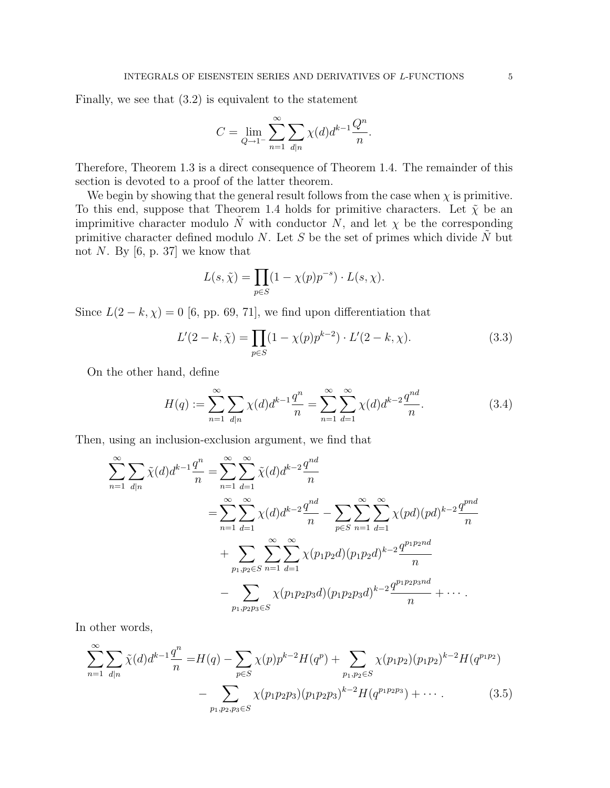Finally, we see that (3.2) is equivalent to the statement

$$
C = \lim_{Q \to 1^{-}} \sum_{n=1}^{\infty} \sum_{d|n} \chi(d) d^{k-1} \frac{Q^n}{n}.
$$

Therefore, Theorem 1.3 is a direct consequence of Theorem 1.4. The remainder of this section is devoted to a proof of the latter theorem.

We begin by showing that the general result follows from the case when  $\chi$  is primitive. To this end, suppose that Theorem 1.4 holds for primitive characters. Let  $\tilde{\chi}$  be an imprimitive character modulo  $\tilde{N}$  with conductor N, and let  $\chi$  be the corresponding primitive character defined modulo N. Let S be the set of primes which divide  $\tilde{N}$  but not N. By  $[6, p. 37]$  we know that

$$
L(s,\tilde{\chi}) = \prod_{p \in S} (1 - \chi(p)p^{-s}) \cdot L(s,\chi).
$$

Since  $L(2 - k, \chi) = 0$  [6, pp. 69, 71], we find upon differentiation that

$$
L'(2 - k, \tilde{\chi}) = \prod_{p \in S} (1 - \chi(p)p^{k-2}) \cdot L'(2 - k, \chi).
$$
 (3.3)

On the other hand, define

$$
H(q) := \sum_{n=1}^{\infty} \sum_{d|n} \chi(d) d^{k-1} \frac{q^n}{n} = \sum_{n=1}^{\infty} \sum_{d=1}^{\infty} \chi(d) d^{k-2} \frac{q^{nd}}{n}.
$$
 (3.4)

Then, using an inclusion-exclusion argument, we find that

$$
\sum_{n=1}^{\infty} \sum_{d|n} \tilde{\chi}(d) d^{k-1} \frac{q^n}{n} = \sum_{n=1}^{\infty} \sum_{d=1}^{\infty} \tilde{\chi}(d) d^{k-2} \frac{q^{nd}}{n}
$$
  
= 
$$
\sum_{n=1}^{\infty} \sum_{d=1}^{\infty} \chi(d) d^{k-2} \frac{q^{nd}}{n} - \sum_{p \in S} \sum_{n=1}^{\infty} \sum_{d=1}^{\infty} \chi(pd) (pd)^{k-2} \frac{q^{pnd}}{n}
$$
  
+ 
$$
\sum_{p_1, p_2 \in S} \sum_{n=1}^{\infty} \sum_{d=1}^{\infty} \chi(p_1 p_2 d) (p_1 p_2 d)^{k-2} \frac{q^{p_1 p_2 nd}}{n}
$$
  
- 
$$
\sum_{p_1, p_2 p_3 \in S} \chi(p_1 p_2 p_3 d) (p_1 p_2 p_3 d)^{k-2} \frac{q^{p_1 p_2 p_3 nd}}{n} + \cdots
$$

In other words,

$$
\sum_{n=1}^{\infty} \sum_{d|n} \tilde{\chi}(d) d^{k-1} \frac{q^n}{n} = H(q) - \sum_{p \in S} \chi(p) p^{k-2} H(q^p) + \sum_{p_1, p_2 \in S} \chi(p_1 p_2) (p_1 p_2)^{k-2} H(q^{p_1 p_2}) - \sum_{p_1, p_2, p_3 \in S} \chi(p_1 p_2 p_3) (p_1 p_2 p_3)^{k-2} H(q^{p_1 p_2 p_3}) + \cdots
$$
\n(3.5)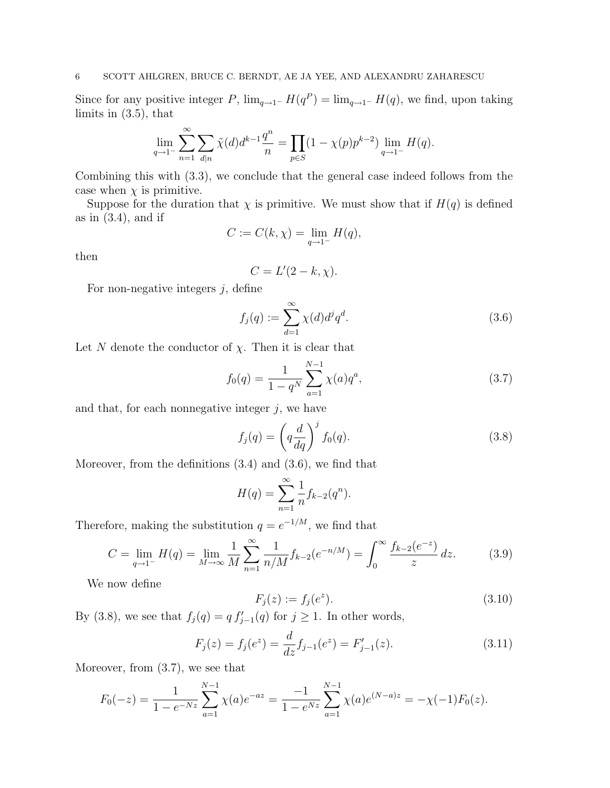Since for any positive integer P,  $\lim_{q\to 1^-} H(q^P) = \lim_{q\to 1^-} H(q)$ , we find, upon taking limits in (3.5), that

$$
\lim_{q \to 1^{-}} \sum_{n=1}^{\infty} \sum_{d|n} \tilde{\chi}(d) d^{k-1} \frac{q^n}{n} = \prod_{p \in S} (1 - \chi(p) p^{k-2}) \lim_{q \to 1^{-}} H(q).
$$

Combining this with (3.3), we conclude that the general case indeed follows from the case when  $\chi$  is primitive.

Suppose for the duration that  $\chi$  is primitive. We must show that if  $H(q)$  is defined as in  $(3.4)$ , and if

$$
C := C(k, \chi) = \lim_{q \to 1^{-}} H(q),
$$

then

$$
C = L'(2 - k, \chi).
$$

For non-negative integers  $j$ , define

$$
f_j(q) := \sum_{d=1}^{\infty} \chi(d) d^j q^d.
$$
\n(3.6)

Let N denote the conductor of  $\chi$ . Then it is clear that

$$
f_0(q) = \frac{1}{1 - q^N} \sum_{a=1}^{N-1} \chi(a) q^a,
$$
\n(3.7)

and that, for each nonnegative integer  $j$ , we have

$$
f_j(q) = \left(q \frac{d}{dq}\right)^j f_0(q). \tag{3.8}
$$

Moreover, from the definitions (3.4) and (3.6), we find that

$$
H(q) = \sum_{n=1}^{\infty} \frac{1}{n} f_{k-2}(q^n).
$$

Therefore, making the substitution  $q = e^{-1/M}$ , we find that

$$
C = \lim_{q \to 1^{-}} H(q) = \lim_{M \to \infty} \frac{1}{M} \sum_{n=1}^{\infty} \frac{1}{n/M} f_{k-2}(e^{-n/M}) = \int_{0}^{\infty} \frac{f_{k-2}(e^{-z})}{z} dz.
$$
 (3.9)

We now define

$$
F_j(z) := f_j(e^z). \tag{3.10}
$$

By (3.8), we see that  $f_j(q) = q f'_{j-1}(q)$  for  $j \ge 1$ . In other words,

$$
F_j(z) = f_j(e^z) = \frac{d}{dz} f_{j-1}(e^z) = F'_{j-1}(z).
$$
\n(3.11)

Moreover, from (3.7), we see that

$$
F_0(-z) = \frac{1}{1 - e^{-Nz}} \sum_{a=1}^{N-1} \chi(a) e^{-az} = \frac{-1}{1 - e^{Nz}} \sum_{a=1}^{N-1} \chi(a) e^{(N-a)z} = -\chi(-1) F_0(z).
$$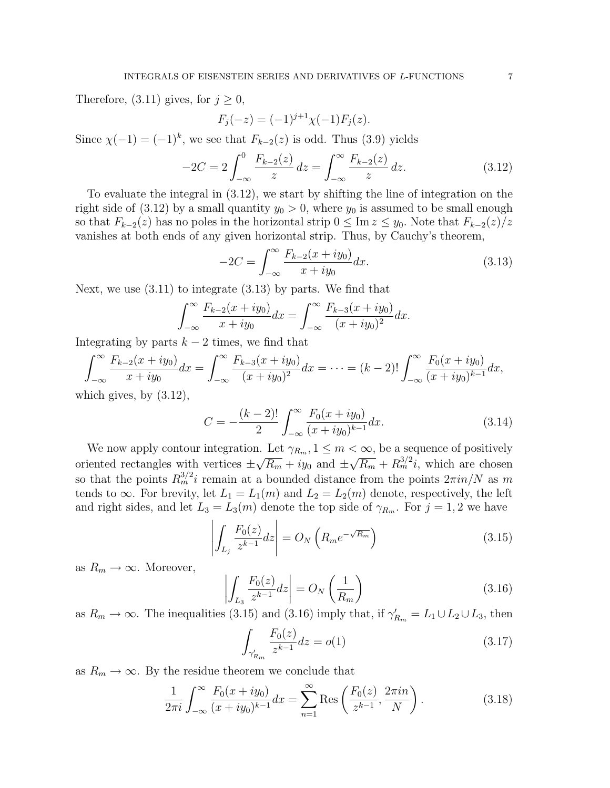Therefore, (3.11) gives, for  $j \geq 0$ ,

$$
F_j(-z) = (-1)^{j+1} \chi(-1) F_j(z).
$$

Since  $\chi(-1) = (-1)^k$ , we see that  $F_{k-2}(z)$  is odd. Thus (3.9) yields

$$
-2C = 2 \int_{-\infty}^{0} \frac{F_{k-2}(z)}{z} dz = \int_{-\infty}^{\infty} \frac{F_{k-2}(z)}{z} dz.
$$
 (3.12)

To evaluate the integral in (3.12), we start by shifting the line of integration on the right side of (3.12) by a small quantity  $y_0 > 0$ , where  $y_0$  is assumed to be small enough so that  $F_{k-2}(z)$  has no poles in the horizontal strip  $0 \leq \text{Im } z \leq y_0$ . Note that  $F_{k-2}(z)/z$ vanishes at both ends of any given horizontal strip. Thus, by Cauchy's theorem,

$$
-2C = \int_{-\infty}^{\infty} \frac{F_{k-2}(x+iy_0)}{x+iy_0} dx.
$$
 (3.13)

Next, we use (3.11) to integrate (3.13) by parts. We find that

$$
\int_{-\infty}^{\infty} \frac{F_{k-2}(x+iy_0)}{x+iy_0} dx = \int_{-\infty}^{\infty} \frac{F_{k-3}(x+iy_0)}{(x+iy_0)^2} dx.
$$

Integrating by parts  $k - 2$  times, we find that

$$
\int_{-\infty}^{\infty} \frac{F_{k-2}(x+iy_0)}{x+iy_0} dx = \int_{-\infty}^{\infty} \frac{F_{k-3}(x+iy_0)}{(x+iy_0)^2} dx = \dots = (k-2)! \int_{-\infty}^{\infty} \frac{F_0(x+iy_0)}{(x+iy_0)^{k-1}} dx,
$$
  
hich gives, by (3.12).

which gives, by  $(3.12)$ ,

$$
C = -\frac{(k-2)!}{2} \int_{-\infty}^{\infty} \frac{F_0(x+iy_0)}{(x+iy_0)^{k-1}} dx.
$$
 (3.14)

We now apply contour integration. Let  $\gamma_{R_m}$ ,  $1 \leq m < \infty$ , be a sequence of positively oriented rectangles with vertices  $\pm$ ⊥.<br>⁄  $\overline{R_m}$  + iy<sub>0</sub> and  $\pm$ √  $\overline{R_m} + R_m^{3/2}i$ , which are chosen so that the points  $R_m^{3/2}i$  remain at a bounded distance from the points  $2\pi i n/N$  as m tends to  $\infty$ . For brevity, let  $L_1 = L_1(m)$  and  $L_2 = L_2(m)$  denote, respectively, the left and right sides, and let  $L_3 = L_3(m)$  denote the top side of  $\gamma_{R_m}$ . For  $j = 1, 2$  we have  $\overline{\mathbf{J}}$   $\overline{\mathbf{J}}$   $\overline{\mathbf{J}}$   $\overline{\mathbf{J}}$ 

$$
\left| \int_{L_j} \frac{F_0(z)}{z^{k-1}} dz \right| = O_N \left( R_m e^{-\sqrt{R_m}} \right) \tag{3.15}
$$

as  $R_m \to \infty$ . Moreover,

$$
\left| \int_{L_3} \frac{F_0(z)}{z^{k-1}} dz \right| = O_N\left(\frac{1}{R_m}\right) \tag{3.16}
$$

as  $R_m \to \infty$ . The inequalities (3.15) and (3.16) imply that, if  $\gamma'_{R_m} = L_1 \cup L_2 \cup L_3$ , then  $\Gamma$  (  $\lambda$ 

$$
\int_{\gamma'_{R_m}} \frac{F_0(z)}{z^{k-1}} dz = o(1) \tag{3.17}
$$

as  $R_m \to \infty$ . By the residue theorem we conclude that

$$
\frac{1}{2\pi i} \int_{-\infty}^{\infty} \frac{F_0(x+iy_0)}{(x+iy_0)^{k-1}} dx = \sum_{n=1}^{\infty} \text{Res}\left(\frac{F_0(z)}{z^{k-1}}, \frac{2\pi i n}{N}\right).
$$
 (3.18)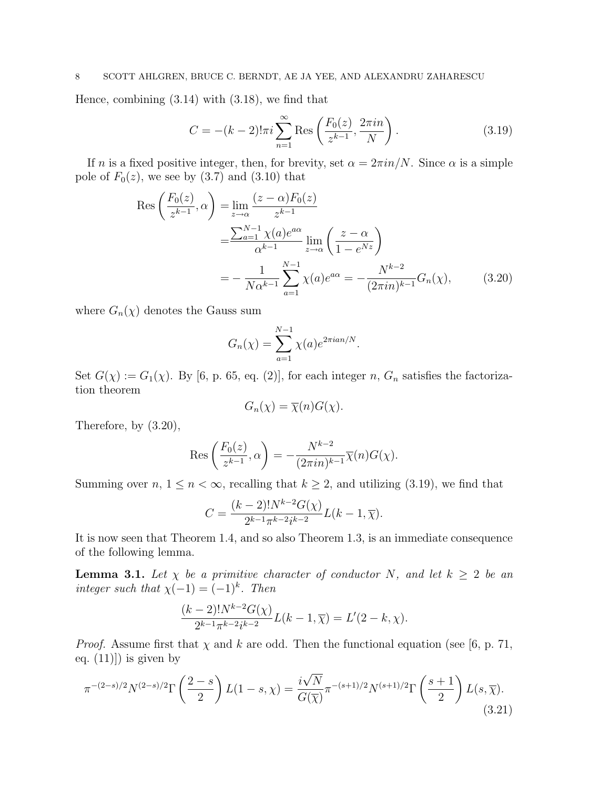## 8 SCOTT AHLGREN, BRUCE C. BERNDT, AE JA YEE, AND ALEXANDRU ZAHARESCU

Hence, combining (3.14) with (3.18), we find that

$$
C = -(k-2)! \pi i \sum_{n=1}^{\infty} \text{Res}\left(\frac{F_0(z)}{z^{k-1}}, \frac{2\pi i n}{N}\right).
$$
 (3.19)

If n is a fixed positive integer, then, for brevity, set  $\alpha = 2\pi i n/N$ . Since  $\alpha$  is a simple pole of  $F_0(z)$ , we see by  $(3.7)$  and  $(3.10)$  that

$$
\operatorname{Res}\left(\frac{F_0(z)}{z^{k-1}}, \alpha\right) = \lim_{z \to \alpha} \frac{(z - \alpha) F_0(z)}{z^{k-1}} \n= \frac{\sum_{a=1}^{N-1} \chi(a) e^{a\alpha}}{\alpha^{k-1}} \lim_{z \to \alpha} \left(\frac{z - \alpha}{1 - e^{Nz}}\right) \n= -\frac{1}{N\alpha^{k-1}} \sum_{a=1}^{N-1} \chi(a) e^{a\alpha} = -\frac{N^{k-2}}{(2\pi in)^{k-1}} G_n(\chi),
$$
\n(3.20)

where  $G_n(\chi)$  denotes the Gauss sum

$$
G_n(\chi) = \sum_{a=1}^{N-1} \chi(a)e^{2\pi i a n/N}.
$$

Set  $G(\chi) := G_1(\chi)$ . By [6, p. 65, eq. (2)], for each integer n,  $G_n$  satisfies the factorization theorem

$$
G_n(\chi) = \overline{\chi}(n)G(\chi).
$$

Therefore, by (3.20),

$$
\operatorname{Res}\left(\frac{F_0(z)}{z^{k-1}},\alpha\right) = -\frac{N^{k-2}}{(2\pi i n)^{k-1}}\overline{\chi}(n)G(\chi).
$$

Summing over  $n, 1 \leq n < \infty$ , recalling that  $k \geq 2$ , and utilizing (3.19), we find that

$$
C = \frac{(k-2)!N^{k-2}G(\chi)}{2^{k-1}\pi^{k-2}i^{k-2}}L(k-1,\overline{\chi}).
$$

It is now seen that Theorem 1.4, and so also Theorem 1.3, is an immediate consequence of the following lemma.

**Lemma 3.1.** Let  $\chi$  be a primitive character of conductor N, and let  $k \geq 2$  be an integer such that  $\chi(-1) = (-1)^k$ . Then

$$
\frac{(k-2)!N^{k-2}G(\chi)}{2^{k-1}\pi^{k-2}i^{k-2}}L(k-1,\overline{\chi})=L'(2-k,\chi).
$$

*Proof.* Assume first that  $\chi$  and k are odd. Then the functional equation (see [6, p. 71, eq.  $(11)]$  is given by

$$
\pi^{-(2-s)/2} N^{(2-s)/2} \Gamma\left(\frac{2-s}{2}\right) L(1-s,\chi) = \frac{i\sqrt{N}}{G(\overline{\chi})} \pi^{-(s+1)/2} N^{(s+1)/2} \Gamma\left(\frac{s+1}{2}\right) L(s,\overline{\chi}).\tag{3.21}
$$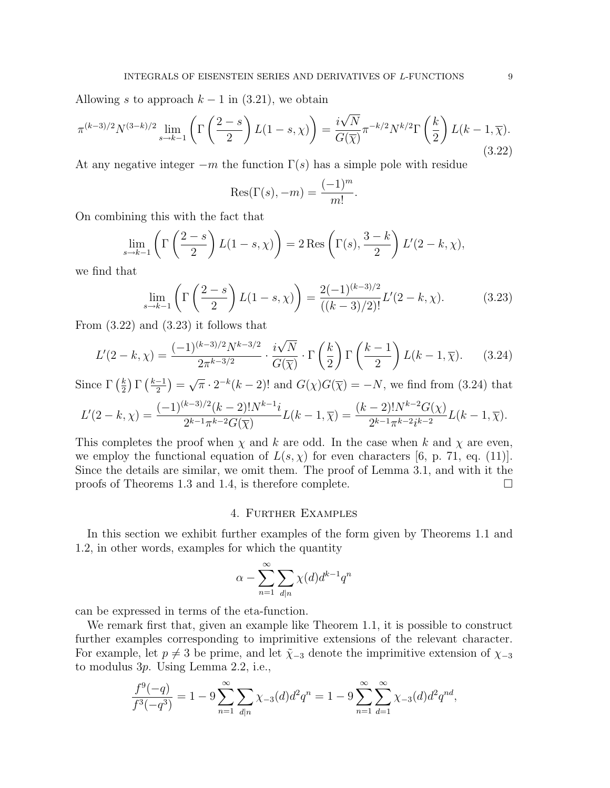Allowing s to approach  $k-1$  in (3.21), we obtain

$$
\pi^{(k-3)/2} N^{(3-k)/2} \lim_{s \to k-1} \left( \Gamma \left( \frac{2-s}{2} \right) L(1-s, \chi) \right) = \frac{i\sqrt{N}}{G(\overline{\chi})} \pi^{-k/2} N^{k/2} \Gamma \left( \frac{k}{2} \right) L(k-1, \overline{\chi}).
$$
\n(3.22)

At any negative integer  $-m$  the function  $\Gamma(s)$  has a simple pole with residue

$$
Res(\Gamma(s), -m) = \frac{(-1)^m}{m!}.
$$

On combining this with the fact that

$$
\lim_{s \to k-1} \left( \Gamma\left(\frac{2-s}{2}\right) L(1-s,\chi) \right) = 2 \operatorname{Res} \left( \Gamma(s), \frac{3-k}{2} \right) L'(2-k,\chi),
$$

we find that

$$
\lim_{s \to k-1} \left( \Gamma\left(\frac{2-s}{2}\right) L(1-s,\chi) \right) = \frac{2(-1)^{(k-3)/2}}{((k-3)/2)!} L'(2-k,\chi). \tag{3.23}
$$

From  $(3.22)$  and  $(3.23)$  it follows that

$$
L'(2-k,\chi) = \frac{(-1)^{(k-3)/2}N^{k-3/2}}{2\pi^{k-3/2}} \cdot \frac{i\sqrt{N}}{G(\overline{\chi})} \cdot \Gamma\left(\frac{k}{2}\right) \Gamma\left(\frac{k-1}{2}\right) L(k-1,\overline{\chi}).\tag{3.24}
$$
  
For  $\Gamma(k)$   $\Gamma(k-1) = \sqrt{\pi}, 2^{-k}(k-2)!$  and  $G(\chi)G(\overline{\chi}) = -N$ , we find from (3.24) that

Since  $\Gamma\left(\frac{k}{2}\right)$ 2 Γ 2 =  $\overline{\pi} \cdot 2^{-k}(k-2)!$  and  $G(\chi)G(\overline{\chi}) = -N$ , we find from (3.24) that

$$
L'(2-k,\chi) = \frac{(-1)^{(k-3)/2}(k-2)!N^{k-1}i}{2^{k-1}\pi^{k-2}G(\overline{\chi})}L(k-1,\overline{\chi}) = \frac{(k-2)!N^{k-2}G(\chi)}{2^{k-1}\pi^{k-2}i^{k-2}}L(k-1,\overline{\chi}).
$$

This completes the proof when  $\chi$  and k are odd. In the case when k and  $\chi$  are even, we employ the functional equation of  $L(s, \chi)$  for even characters [6, p. 71, eq. (11)]. Since the details are similar, we omit them. The proof of Lemma 3.1, and with it the proofs of Theorems 1.3 and 1.4, is therefore complete.  $\Box$ 

## 4. Further Examples

In this section we exhibit further examples of the form given by Theorems 1.1 and 1.2, in other words, examples for which the quantity

$$
\alpha - \sum_{n=1}^{\infty} \sum_{d|n} \chi(d) d^{k-1} q^n
$$

can be expressed in terms of the eta-function.

We remark first that, given an example like Theorem 1.1, it is possible to construct further examples corresponding to imprimitive extensions of the relevant character. For example, let  $p \neq 3$  be prime, and let  $\tilde{\chi}_{-3}$  denote the imprimitive extension of  $\chi_{-3}$ to modulus 3p. Using Lemma 2.2, i.e.,

$$
\frac{f^9(-q)}{f^3(-q^3)} = 1 - 9 \sum_{n=1}^{\infty} \sum_{d|n} \chi_{-3}(d) d^2 q^n = 1 - 9 \sum_{n=1}^{\infty} \sum_{d=1}^{\infty} \chi_{-3}(d) d^2 q^{nd},
$$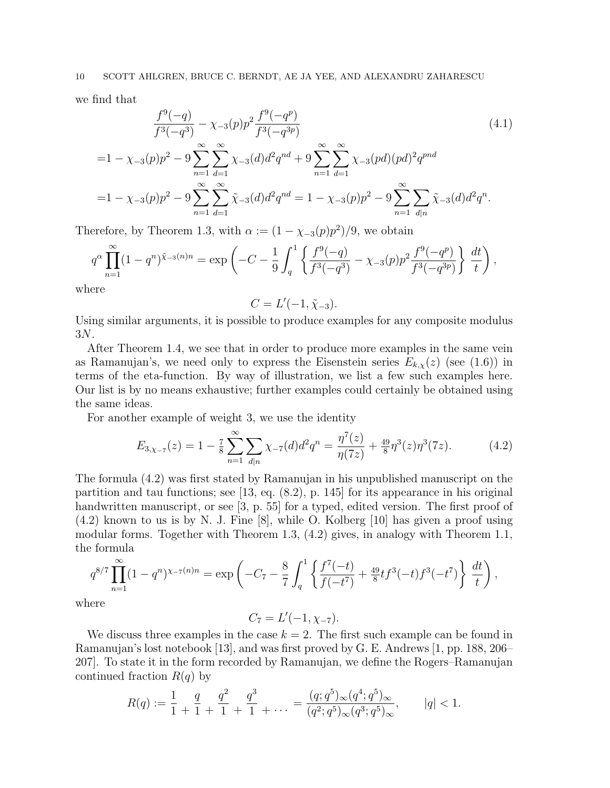we find that

$$
\frac{f^9(-q)}{f^3(-q^3)} - \chi_{-3}(p)p^2 \frac{f^9(-q^p)}{f^3(-q^{3p})}
$$
\n
$$
= 1 - \chi_{-3}(p)p^2 - 9 \sum_{n=1}^{\infty} \sum_{d=1}^{\infty} \chi_{-3}(d)d^2q^{nd} + 9 \sum_{n=1}^{\infty} \sum_{d=1}^{\infty} \chi_{-3}(pd)(pd)^2q^{pnd}
$$
\n
$$
= 1 - \chi_{-3}(p)p^2 - 9 \sum_{n=1}^{\infty} \sum_{d=1}^{\infty} \tilde{\chi}_{-3}(d)d^2q^{nd} = 1 - \chi_{-3}(p)p^2 - 9 \sum_{n=1}^{\infty} \sum_{d|n} \tilde{\chi}_{-3}(d)d^2q^n.
$$
\n(4.1)

Therefore, by Theorem 1.3, with  $\alpha := (1 - \chi_{-3}(p)p^2)/9$ , we obtain

$$
q^{\alpha} \prod_{n=1}^{\infty} (1-q^n)^{\tilde{\chi}_{-3}(n)n} = \exp\left(-C - \frac{1}{9} \int_q^1 \left\{ \frac{f^9(-q)}{f^3(-q^3)} - \chi_{-3}(p)p^2 \frac{f^9(-q^p)}{f^3(-q^{3p})} \right\} \frac{dt}{t} \right),
$$

where

$$
C=L'(-1,\tilde{\chi}_{-3}).
$$

Using similar arguments, it is possible to produce examples for any composite modulus 3N.

After Theorem 1.4, we see that in order to produce more examples in the same vein as Ramanujan's, we need only to express the Eisenstein series  $E_{k,\chi}(z)$  (see (1.6)) in terms of the eta-function. By way of illustration, we list a few such examples here. Our list is by no means exhaustive; further examples could certainly be obtained using the same ideas.

For another example of weight 3, we use the identity

$$
E_{3,\chi_{-7}}(z) = 1 - \frac{7}{8} \sum_{n=1}^{\infty} \sum_{d|n} \chi_{-7}(d) d^2 q^n = \frac{\eta^7(z)}{\eta(7z)} + \frac{49}{8} \eta^3(z) \eta^3(7z). \tag{4.2}
$$

The formula (4.2) was first stated by Ramanujan in his unpublished manuscript on the partition and tau functions; see  $[13, \text{ eq. } (8.2), \text{ p. } 145]$  for its appearance in his original handwritten manuscript, or see [3, p. 55] for a typed, edited version. The first proof of (4.2) known to us is by N. J. Fine [8], while O. Kolberg [10] has given a proof using modular forms. Together with Theorem 1.3, (4.2) gives, in analogy with Theorem 1.1, the formula

$$
q^{8/7} \prod_{n=1}^{\infty} (1 - q^n)^{\chi - \tau(n)n} = \exp\left(-C_7 - \frac{8}{7} \int_q^1 \left\{ \frac{f^7(-t)}{f(-t^7)} + \frac{49}{8} t f^3(-t) f^3(-t^7) \right\} \frac{dt}{t} \right),
$$

where

$$
C_7 = L'(-1, \chi_{-7}).
$$

We discuss three examples in the case  $k = 2$ . The first such example can be found in Ramanujan's lost notebook [13], and was first proved by G. E. Andrews [1, pp. 188, 206– 207]. To state it in the form recorded by Ramanujan, we define the Rogers–Ramanujan continued fraction  $R(q)$  by

$$
R(q) := \frac{1}{1} + \frac{q}{1} + \frac{q^2}{1} + \frac{q^3}{1} + \dots = \frac{(q;q^5)_{\infty}(q^4;q^5)_{\infty}}{(q^2;q^5)_{\infty}(q^3;q^5)_{\infty}}, \qquad |q| < 1.
$$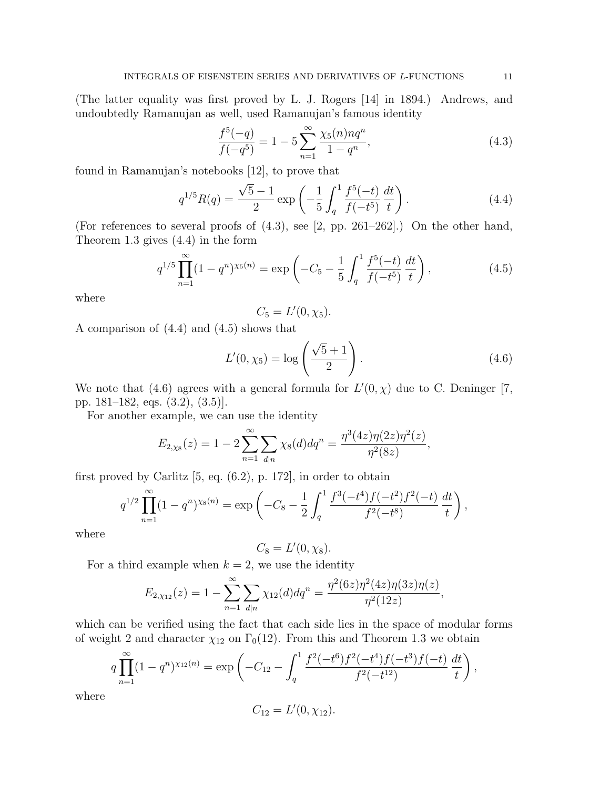(The latter equality was first proved by L. J. Rogers [14] in 1894.) Andrews, and undoubtedly Ramanujan as well, used Ramanujan's famous identity

$$
\frac{f^5(-q)}{f(-q^5)} = 1 - 5\sum_{n=1}^{\infty} \frac{\chi_5(n)nq^n}{1 - q^n},\tag{4.3}
$$

found in Ramanujan's notebooks [12], to prove that

$$
q^{1/5}R(q) = \frac{\sqrt{5}-1}{2} \exp\left(-\frac{1}{5} \int_q^1 \frac{f^5(-t)}{f(-t^5)} \frac{dt}{t}\right).
$$
 (4.4)

(For references to several proofs of (4.3), see [2, pp. 261–262].) On the other hand, Theorem 1.3 gives (4.4) in the form

$$
q^{1/5} \prod_{n=1}^{\infty} (1 - q^n)^{\chi_5(n)} = \exp\left(-C_5 - \frac{1}{5} \int_q^1 \frac{f^5(-t)}{f(-t^5)} \frac{dt}{t}\right),\tag{4.5}
$$

where

$$
C_5 = L'(0, \chi_5).
$$

A comparison of (4.4) and (4.5) shows that

$$
L'(0, \chi_5) = \log\left(\frac{\sqrt{5} + 1}{2}\right).
$$
 (4.6)

We note that (4.6) agrees with a general formula for  $L'(0, \chi)$  due to C. Deninger [7, pp. 181–182, eqs. (3.2), (3.5)].

For another example, we can use the identity

$$
E_{2,\chi_8}(z) = 1 - 2 \sum_{n=1}^{\infty} \sum_{d|n} \chi_8(d) dq^n = \frac{\eta^3(4z)\eta(2z)\eta^2(z)}{\eta^2(8z)},
$$

first proved by Carlitz [5, eq. (6.2), p. 172], in order to obtain

$$
q^{1/2} \prod_{n=1}^{\infty} (1 - q^n)^{\chi_8(n)} = \exp\left(-C_8 - \frac{1}{2} \int_q^1 \frac{f^3(-t^4) f(-t^2) f^2(-t)}{f^2(-t^8)} \frac{dt}{t}\right),
$$

where

$$
C_8=L'(0,\chi_8).
$$

For a third example when  $k = 2$ , we use the identity

$$
E_{2,\chi_{12}}(z) = 1 - \sum_{n=1}^{\infty} \sum_{d|n} \chi_{12}(d) dq^n = \frac{\eta^2(6z)\eta^2(4z)\eta(3z)\eta(z)}{\eta^2(12z)},
$$

which can be verified using the fact that each side lies in the space of modular forms of weight 2 and character  $\chi_{12}$  on  $\Gamma_0(12)$ . From this and Theorem 1.3 we obtain

$$
q\prod_{n=1}^{\infty} (1-q^n)^{\chi_{12}(n)} = \exp\left(-C_{12} - \int_q^1 \frac{f^2(-t^6)f^2(-t^4)f(-t^3)f(-t)}{f^2(-t^{12})} \frac{dt}{t}\right),
$$

where

$$
C_{12}=L'(0,\chi_{12}).
$$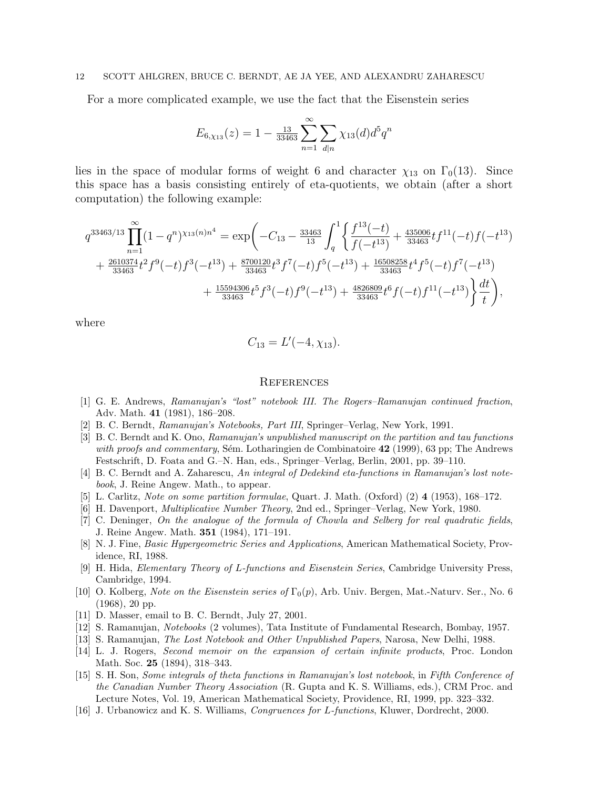#### 12 SCOTT AHLGREN, BRUCE C. BERNDT, AE JA YEE, AND ALEXANDRU ZAHARESCU

For a more complicated example, we use the fact that the Eisenstein series

$$
E_{6,\chi_{13}}(z) = 1 - \frac{13}{33463} \sum_{n=1}^{\infty} \sum_{d|n} \chi_{13}(d) d^5 q^n
$$

lies in the space of modular forms of weight 6 and character  $\chi_{13}$  on  $\Gamma_0(13)$ . Since this space has a basis consisting entirely of eta-quotients, we obtain (after a short computation) the following example:

$$
\begin{split} q^{33463/13}&\prod_{n=1}^{\infty}(1-q^n)^{\chi_{13}(n)n^4}=\exp\biggl(-C_{13}-\tfrac{33463}{13}\int_q^1\biggl\{\frac{f^{13}(-t)}{f(-t^{13})}+\tfrac{435006}{33463}tf^{11}(-t)f(-t^{13})\\ &+\tfrac{2610374}{33463}t^2f^9(-t)f^3(-t^{13})+\tfrac{8700120}{33463}t^3f^7(-t)f^5(-t^{13})+\tfrac{16508258}{33463}t^4f^5(-t)f^7(-t^{13})\\ &+\tfrac{15594306}{33463}t^5f^3(-t)f^9(-t^{13})+\tfrac{4826809}{33463}t^6f(-t)f^{11}(-t^{13})\biggl\}\frac{dt}{t}\biggr), \end{split}
$$

where

$$
C_{13}=L'(-4,\chi_{13}).
$$

### **REFERENCES**

- [1] G. E. Andrews, Ramanujan's "lost" notebook III. The Rogers–Ramanujan continued fraction, Adv. Math. 41 (1981), 186–208.
- [2] B. C. Berndt, Ramanujan's Notebooks, Part III, Springer–Verlag, New York, 1991.
- [3] B. C. Berndt and K. Ono, Ramanujan's unpublished manuscript on the partition and tau functions with proofs and commentary, Sém. Lotharingien de Combinatoire  $42$  (1999), 63 pp; The Andrews Festschrift, D. Foata and G.–N. Han, eds., Springer–Verlag, Berlin, 2001, pp. 39–110.
- [4] B. C. Berndt and A. Zaharescu, An integral of Dedekind eta-functions in Ramanujan's lost notebook, J. Reine Angew. Math., to appear.
- [5] L. Carlitz, Note on some partition formulae, Quart. J. Math. (Oxford) (2) 4 (1953), 168–172.
- [6] H. Davenport, Multiplicative Number Theory, 2nd ed., Springer–Verlag, New York, 1980.
- [7] C. Deninger, On the analogue of the formula of Chowla and Selberg for real quadratic fields, J. Reine Angew. Math. 351 (1984), 171–191.
- [8] N. J. Fine, Basic Hypergeometric Series and Applications, American Mathematical Society, Providence, RI, 1988.
- [9] H. Hida, Elementary Theory of L-functions and Eisenstein Series, Cambridge University Press, Cambridge, 1994.
- [10] O. Kolberg, Note on the Eisenstein series of  $\Gamma_0(p)$ , Arb. Univ. Bergen, Mat.-Naturv. Ser., No. 6 (1968), 20 pp.
- [11] D. Masser, email to B. C. Berndt, July 27, 2001.
- [12] S. Ramanujan, Notebooks (2 volumes), Tata Institute of Fundamental Research, Bombay, 1957.
- [13] S. Ramanujan, The Lost Notebook and Other Unpublished Papers, Narosa, New Delhi, 1988.
- [14] L. J. Rogers, Second memoir on the expansion of certain infinite products, Proc. London Math. Soc. 25 (1894), 318–343.
- [15] S. H. Son, Some integrals of theta functions in Ramanujan's lost notebook, in Fifth Conference of the Canadian Number Theory Association (R. Gupta and K. S. Williams, eds.), CRM Proc. and Lecture Notes, Vol. 19, American Mathematical Society, Providence, RI, 1999, pp. 323–332.
- [16] J. Urbanowicz and K. S. Williams, Congruences for L-functions, Kluwer, Dordrecht, 2000.